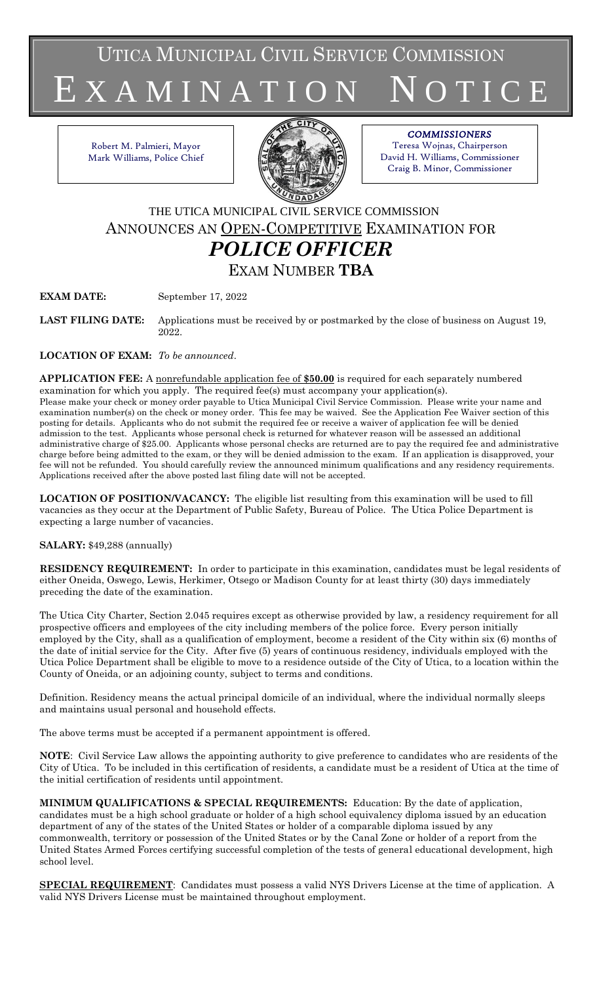UTICA MUNICIPAL CIVIL SERVICE COMMISSION

X A M I N A T I O N

Robert M. Palmieri, Mayor Mark Williams, Police Chief



# *COMMISSIONERS*

Teresa Wojnas, Chairperson David H. Williams, Commissioner Craig B. Minor, Commissioner

THE UTICA MUNICIPAL CIVIL SERVICE COMMISSION ANNOUNCES AN OPEN-COMPETITIVE EXAMINATION FOR *POLICE OFFICER* EXAM NUMBER **TBA**

**EXAM DATE:** September 17, 2022

**LAST FILING DATE:** Applications must be received by or postmarked by the close of business on August 19, 2022.

**LOCATION OF EXAM:** *To be announced*.

**APPLICATION FEE:** A nonrefundable application fee of **\$50.00** is required for each separately numbered examination for which you apply. The required fee(s) must accompany your application(s). Please make your check or money order payable to Utica Municipal Civil Service Commission. Please write your name and examination number(s) on the check or money order. This fee may be waived. See the Application Fee Waiver section of this posting for details. Applicants who do not submit the required fee or receive a waiver of application fee will be denied admission to the test. Applicants whose personal check is returned for whatever reason will be assessed an additional administrative charge of \$25.00. Applicants whose personal checks are returned are to pay the required fee and administrative charge before being admitted to the exam, or they will be denied admission to the exam. If an application is disapproved, your fee will not be refunded. You should carefully review the announced minimum qualifications and any residency requirements. Applications received after the above posted last filing date will not be accepted.

**LOCATION OF POSITION/VACANCY:** The eligible list resulting from this examination will be used to fill vacancies as they occur at the Department of Public Safety, Bureau of Police. The Utica Police Department is expecting a large number of vacancies.

## **SALARY:** \$49,288 (annually)

**RESIDENCY REQUIREMENT:** In order to participate in this examination, candidates must be legal residents of either Oneida, Oswego, Lewis, Herkimer, Otsego or Madison County for at least thirty (30) days immediately preceding the date of the examination.

The Utica City Charter, Section 2.045 requires except as otherwise provided by law, a residency requirement for all prospective officers and employees of the city including members of the police force. Every person initially employed by the City, shall as a qualification of employment, become a resident of the City within six (6) months of the date of initial service for the City. After five (5) years of continuous residency, individuals employed with the Utica Police Department shall be eligible to move to a residence outside of the City of Utica, to a location within the County of Oneida, or an adjoining county, subject to terms and conditions.

Definition. Residency means the actual principal domicile of an individual, where the individual normally sleeps and maintains usual personal and household effects.

The above terms must be accepted if a permanent appointment is offered.

**NOTE**: Civil Service Law allows the appointing authority to give preference to candidates who are residents of the City of Utica. To be included in this certification of residents, a candidate must be a resident of Utica at the time of the initial certification of residents until appointment.

**MINIMUM QUALIFICATIONS & SPECIAL REQUIREMENTS:** Education: By the date of application, candidates must be a high school graduate or holder of a high school equivalency diploma issued by an education department of any of the states of the United States or holder of a comparable diploma issued by any commonwealth, territory or possession of the United States or by the Canal Zone or holder of a report from the United States Armed Forces certifying successful completion of the tests of general educational development, high school level.

**SPECIAL REQUIREMENT**: Candidates must possess a valid NYS Drivers License at the time of application. A valid NYS Drivers License must be maintained throughout employment.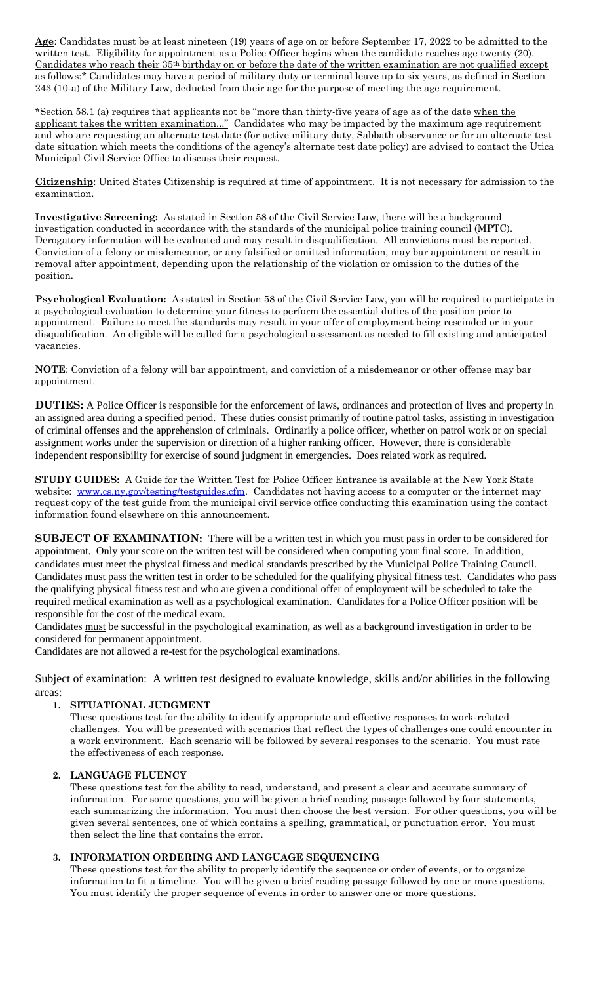**Age**: Candidates must be at least nineteen (19) years of age on or before September 17, 2022 to be admitted to the written test. Eligibility for appointment as a Police Officer begins when the candidate reaches age twenty (20). Candidates who reach their 35th birthday on or before the date of the written examination are not qualified except as follows:\* Candidates may have a period of military duty or terminal leave up to six years, as defined in Section 243 (10-a) of the Military Law, deducted from their age for the purpose of meeting the age requirement.

\*Section 58.1 (a) requires that applicants not be "more than thirty-five years of age as of the date when the applicant takes the written examination..." Candidates who may be impacted by the maximum age requirement and who are requesting an alternate test date (for active military duty, Sabbath observance or for an alternate test date situation which meets the conditions of the agency's alternate test date policy) are advised to contact the Utica Municipal Civil Service Office to discuss their request.

**Citizenship**: United States Citizenship is required at time of appointment. It is not necessary for admission to the examination.

**Investigative Screening:** As stated in Section 58 of the Civil Service Law, there will be a background investigation conducted in accordance with the standards of the municipal police training council (MPTC). Derogatory information will be evaluated and may result in disqualification. All convictions must be reported. Conviction of a felony or misdemeanor, or any falsified or omitted information, may bar appointment or result in removal after appointment, depending upon the relationship of the violation or omission to the duties of the position.

**Psychological Evaluation:** As stated in Section 58 of the Civil Service Law, you will be required to participate in a psychological evaluation to determine your fitness to perform the essential duties of the position prior to appointment. Failure to meet the standards may result in your offer of employment being rescinded or in your disqualification. An eligible will be called for a psychological assessment as needed to fill existing and anticipated vacancies.

**NOTE**: Conviction of a felony will bar appointment, and conviction of a misdemeanor or other offense may bar appointment.

**DUTIES:** A Police Officer is responsible for the enforcement of laws, ordinances and protection of lives and property in an assigned area during a specified period. These duties consist primarily of routine patrol tasks, assisting in investigation of criminal offenses and the apprehension of criminals. Ordinarily a police officer, whether on patrol work or on special assignment works under the supervision or direction of a higher ranking officer. However, there is considerable independent responsibility for exercise of sound judgment in emergencies. Does related work as required.

**STUDY GUIDES:** A Guide for the Written Test for Police Officer Entrance is available at the New York State website: [www.cs.ny.gov/testing/testguides.cfm.](http://www.cs.ny.gov/testing/testguides.cfm) Candidates not having access to a computer or the internet may request copy of the test guide from the municipal civil service office conducting this examination using the contact information found elsewhere on this announcement.

**SUBJECT OF EXAMINATION:** There will be a written test in which you must pass in order to be considered for appointment. Only your score on the written test will be considered when computing your final score. In addition, candidates must meet the physical fitness and medical standards prescribed by the Municipal Police Training Council. Candidates must pass the written test in order to be scheduled for the qualifying physical fitness test. Candidates who pass the qualifying physical fitness test and who are given a conditional offer of employment will be scheduled to take the required medical examination as well as a psychological examination. Candidates for a Police Officer position will be responsible for the cost of the medical exam.

Candidates must be successful in the psychological examination, as well as a background investigation in order to be considered for permanent appointment.

Candidates are not allowed a re-test for the psychological examinations.

Subject of examination: A written test designed to evaluate knowledge, skills and/or abilities in the following areas:

## **1. SITUATIONAL JUDGMENT**

These questions test for the ability to identify appropriate and effective responses to work-related challenges. You will be presented with scenarios that reflect the types of challenges one could encounter in a work environment. Each scenario will be followed by several responses to the scenario. You must rate the effectiveness of each response.

#### **2. LANGUAGE FLUENCY**

These questions test for the ability to read, understand, and present a clear and accurate summary of information. For some questions, you will be given a brief reading passage followed by four statements, each summarizing the information. You must then choose the best version. For other questions, you will be given several sentences, one of which contains a spelling, grammatical, or punctuation error. You must then select the line that contains the error.

## **3. INFORMATION ORDERING AND LANGUAGE SEQUENCING**

These questions test for the ability to properly identify the sequence or order of events, or to organize information to fit a timeline. You will be given a brief reading passage followed by one or more questions. You must identify the proper sequence of events in order to answer one or more questions.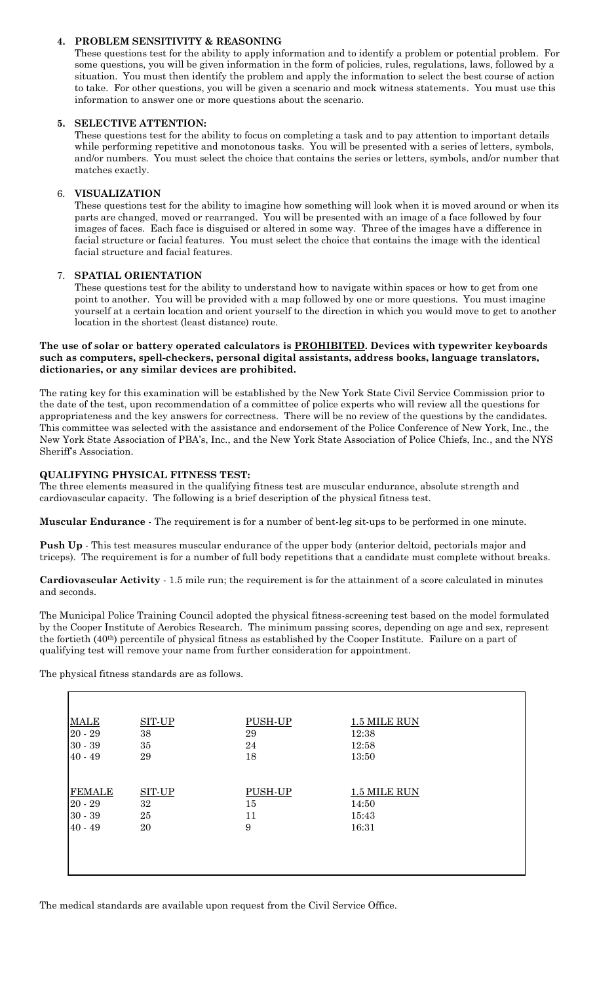#### **4. PROBLEM SENSITIVITY & REASONING**

These questions test for the ability to apply information and to identify a problem or potential problem. For some questions, you will be given information in the form of policies, rules, regulations, laws, followed by a situation. You must then identify the problem and apply the information to select the best course of action to take. For other questions, you will be given a scenario and mock witness statements. You must use this information to answer one or more questions about the scenario.

#### **5. SELECTIVE ATTENTION:**

These questions test for the ability to focus on completing a task and to pay attention to important details while performing repetitive and monotonous tasks. You will be presented with a series of letters, symbols, and/or numbers. You must select the choice that contains the series or letters, symbols, and/or number that matches exactly.

#### 6. **VISUALIZATION**

These questions test for the ability to imagine how something will look when it is moved around or when its parts are changed, moved or rearranged. You will be presented with an image of a face followed by four images of faces. Each face is disguised or altered in some way. Three of the images have a difference in facial structure or facial features. You must select the choice that contains the image with the identical facial structure and facial features.

#### 7. **SPATIAL ORIENTATION**

These questions test for the ability to understand how to navigate within spaces or how to get from one point to another. You will be provided with a map followed by one or more questions. You must imagine yourself at a certain location and orient yourself to the direction in which you would move to get to another location in the shortest (least distance) route.

#### **The use of solar or battery operated calculators is PROHIBITED. Devices with typewriter keyboards such as computers, spell-checkers, personal digital assistants, address books, language translators, dictionaries, or any similar devices are prohibited.**

The rating key for this examination will be established by the New York State Civil Service Commission prior to the date of the test, upon recommendation of a committee of police experts who will review all the questions for appropriateness and the key answers for correctness. There will be no review of the questions by the candidates. This committee was selected with the assistance and endorsement of the Police Conference of New York, Inc., the New York State Association of PBA's, Inc., and the New York State Association of Police Chiefs, Inc., and the NYS Sheriff's Association.

#### **QUALIFYING PHYSICAL FITNESS TEST:**

The three elements measured in the qualifying fitness test are muscular endurance, absolute strength and cardiovascular capacity. The following is a brief description of the physical fitness test.

**Muscular Endurance** - The requirement is for a number of bent-leg sit-ups to be performed in one minute.

**Push Up** - This test measures muscular endurance of the upper body (anterior deltoid, pectorials major and triceps). The requirement is for a number of full body repetitions that a candidate must complete without breaks.

**Cardiovascular Activity** - 1.5 mile run; the requirement is for the attainment of a score calculated in minutes and seconds.

The Municipal Police Training Council adopted the physical fitness-screening test based on the model formulated by the Cooper Institute of Aerobics Research. The minimum passing scores, depending on age and sex, represent the fortieth (40th) percentile of physical fitness as established by the Cooper Institute. Failure on a part of qualifying test will remove your name from further consideration for appointment.

The physical fitness standards are as follows.

| <b>MALE</b>   | SIT-UP | PUSH-UP | 1.5 MILE RUN |  |
|---------------|--------|---------|--------------|--|
| $20 - 29$     | 38     | 29      | 12:38        |  |
| $30 - 39$     | 35     | 24      | 12:58        |  |
| $40 - 49$     | 29     | 18      | 13:50        |  |
|               |        |         |              |  |
|               |        |         |              |  |
| <b>FEMALE</b> | SIT-UP | PUSH-UP | 1.5 MILE RUN |  |
| $20 - 29$     | $32\,$ | 15      | 14:50        |  |
| $30 - 39$     | 25     | 11      | 15:43        |  |
| $40 - 49$     | 20     | 9       | 16:31        |  |
|               |        |         |              |  |
|               |        |         |              |  |
|               |        |         |              |  |
|               |        |         |              |  |
|               |        |         |              |  |

The medical standards are available upon request from the Civil Service Office.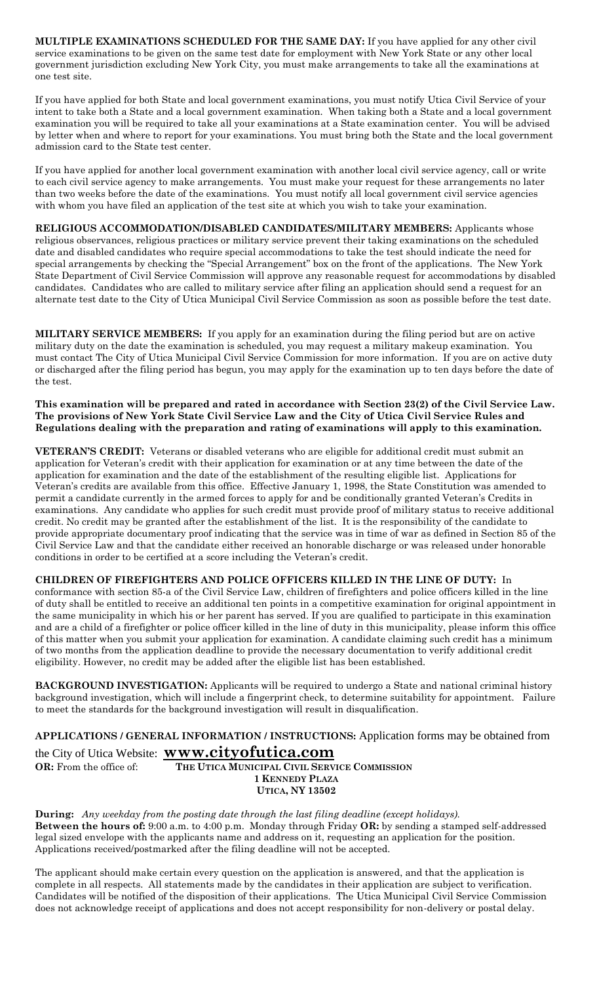**MULTIPLE EXAMINATIONS SCHEDULED FOR THE SAME DAY:** If you have applied for any other civil service examinations to be given on the same test date for employment with New York State or any other local government jurisdiction excluding New York City, you must make arrangements to take all the examinations at one test site.

If you have applied for both State and local government examinations, you must notify Utica Civil Service of your intent to take both a State and a local government examination. When taking both a State and a local government examination you will be required to take all your examinations at a State examination center. You will be advised by letter when and where to report for your examinations. You must bring both the State and the local government admission card to the State test center.

If you have applied for another local government examination with another local civil service agency, call or write to each civil service agency to make arrangements. You must make your request for these arrangements no later than two weeks before the date of the examinations. You must notify all local government civil service agencies with whom you have filed an application of the test site at which you wish to take your examination.

**RELIGIOUS ACCOMMODATION/DISABLED CANDIDATES/MILITARY MEMBERS:** Applicants whose religious observances, religious practices or military service prevent their taking examinations on the scheduled date and disabled candidates who require special accommodations to take the test should indicate the need for special arrangements by checking the "Special Arrangement" box on the front of the applications. The New York State Department of Civil Service Commission will approve any reasonable request for accommodations by disabled candidates. Candidates who are called to military service after filing an application should send a request for an alternate test date to the City of Utica Municipal Civil Service Commission as soon as possible before the test date.

**MILITARY SERVICE MEMBERS:** If you apply for an examination during the filing period but are on active military duty on the date the examination is scheduled, you may request a military makeup examination. You must contact The City of Utica Municipal Civil Service Commission for more information. If you are on active duty or discharged after the filing period has begun, you may apply for the examination up to ten days before the date of the test.

**This examination will be prepared and rated in accordance with Section 23(2) of the Civil Service Law. The provisions of New York State Civil Service Law and the City of Utica Civil Service Rules and Regulations dealing with the preparation and rating of examinations will apply to this examination.**

**VETERAN'S CREDIT:** Veterans or disabled veterans who are eligible for additional credit must submit an application for Veteran's credit with their application for examination or at any time between the date of the application for examination and the date of the establishment of the resulting eligible list. Applications for Veteran's credits are available from this office. Effective January 1, 1998, the State Constitution was amended to permit a candidate currently in the armed forces to apply for and be conditionally granted Veteran's Credits in examinations. Any candidate who applies for such credit must provide proof of military status to receive additional credit. No credit may be granted after the establishment of the list. It is the responsibility of the candidate to provide appropriate documentary proof indicating that the service was in time of war as defined in Section 85 of the Civil Service Law and that the candidate either received an honorable discharge or was released under honorable conditions in order to be certified at a score including the Veteran's credit.

**CHILDREN OF FIREFIGHTERS AND POLICE OFFICERS KILLED IN THE LINE OF DUTY:** In conformance with section 85-a of the Civil Service Law, children of firefighters and police officers killed in the line of duty shall be entitled to receive an additional ten points in a competitive examination for original appointment in the same municipality in which his or her parent has served. If you are qualified to participate in this examination and are a child of a firefighter or police officer killed in the line of duty in this municipality, please inform this office of this matter when you submit your application for examination. A candidate claiming such credit has a minimum of two months from the application deadline to provide the necessary documentation to verify additional credit eligibility. However, no credit may be added after the eligible list has been established.

**BACKGROUND INVESTIGATION:** Applicants will be required to undergo a State and national criminal history background investigation, which will include a fingerprint check, to determine suitability for appointment. Failure to meet the standards for the background investigation will result in disqualification.

**APPLICATIONS / GENERAL INFORMATION / INSTRUCTIONS:** Application forms may be obtained from

# the City of Utica Website: **[www.cityofutica.com](http://www.cityofutica.com/)**

#### **OR:** From the office of: **THE UTICA MUNICIPAL CIVIL SERVICE COMMISSION 1 KENNEDY PLAZA UTICA, NY 13502**

**During:** *Any weekday from the posting date through the last filing deadline (except holidays).* **Between the hours of:** 9:00 a.m. to 4:00 p.m. Monday through Friday **OR:** by sending a stamped self-addressed legal sized envelope with the applicants name and address on it, requesting an application for the position. Applications received/postmarked after the filing deadline will not be accepted.

The applicant should make certain every question on the application is answered, and that the application is complete in all respects. All statements made by the candidates in their application are subject to verification. Candidates will be notified of the disposition of their applications. The Utica Municipal Civil Service Commission does not acknowledge receipt of applications and does not accept responsibility for non-delivery or postal delay.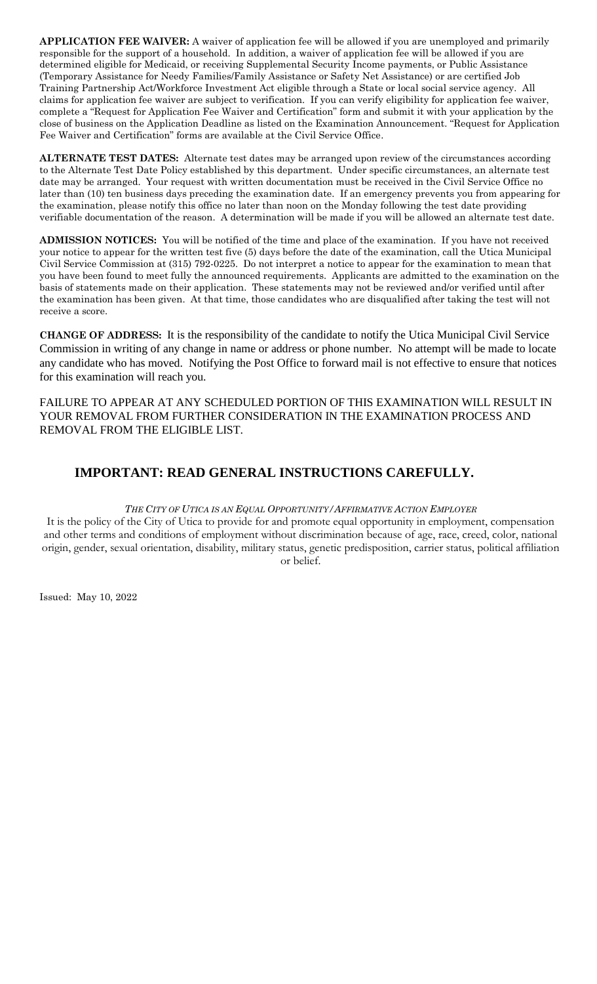**APPLICATION FEE WAIVER:** A waiver of application fee will be allowed if you are unemployed and primarily responsible for the support of a household. In addition, a waiver of application fee will be allowed if you are determined eligible for Medicaid, or receiving Supplemental Security Income payments, or Public Assistance (Temporary Assistance for Needy Families/Family Assistance or Safety Net Assistance) or are certified Job Training Partnership Act/Workforce Investment Act eligible through a State or local social service agency. All claims for application fee waiver are subject to verification. If you can verify eligibility for application fee waiver, complete a "Request for Application Fee Waiver and Certification" form and submit it with your application by the close of business on the Application Deadline as listed on the Examination Announcement. "Request for Application Fee Waiver and Certification" forms are available at the Civil Service Office.

**ALTERNATE TEST DATES:** Alternate test dates may be arranged upon review of the circumstances according to the Alternate Test Date Policy established by this department. Under specific circumstances, an alternate test date may be arranged. Your request with written documentation must be received in the Civil Service Office no later than (10) ten business days preceding the examination date. If an emergency prevents you from appearing for the examination, please notify this office no later than noon on the Monday following the test date providing verifiable documentation of the reason. A determination will be made if you will be allowed an alternate test date.

**ADMISSION NOTICES:** You will be notified of the time and place of the examination. If you have not received your notice to appear for the written test five (5) days before the date of the examination, call the Utica Municipal Civil Service Commission at (315) 792-0225. Do not interpret a notice to appear for the examination to mean that you have been found to meet fully the announced requirements. Applicants are admitted to the examination on the basis of statements made on their application. These statements may not be reviewed and/or verified until after the examination has been given. At that time, those candidates who are disqualified after taking the test will not receive a score.

**CHANGE OF ADDRESS:** It is the responsibility of the candidate to notify the Utica Municipal Civil Service Commission in writing of any change in name or address or phone number. No attempt will be made to locate any candidate who has moved. Notifying the Post Office to forward mail is not effective to ensure that notices for this examination will reach you.

FAILURE TO APPEAR AT ANY SCHEDULED PORTION OF THIS EXAMINATION WILL RESULT IN YOUR REMOVAL FROM FURTHER CONSIDERATION IN THE EXAMINATION PROCESS AND REMOVAL FROM THE ELIGIBLE LIST.

# **IMPORTANT: READ GENERAL INSTRUCTIONS CAREFULLY.**

## *THE CITY OF UTICA IS AN EQUAL OPPORTUNITY/AFFIRMATIVE ACTION EMPLOYER*

It is the policy of the City of Utica to provide for and promote equal opportunity in employment, compensation and other terms and conditions of employment without discrimination because of age, race, creed, color, national origin, gender, sexual orientation, disability, military status, genetic predisposition, carrier status, political affiliation or belief.

Issued: May 10, 2022